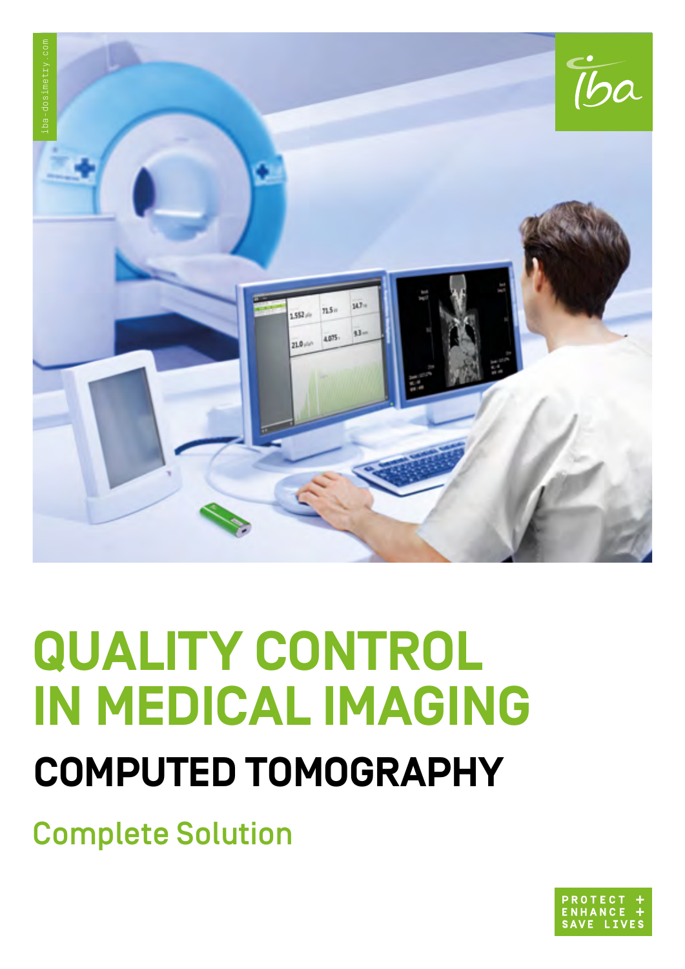

# **QUALITY CONTROL IN MEDICAL IMAGING COMPUTED TOMOGRAPHY**

Complete Solution

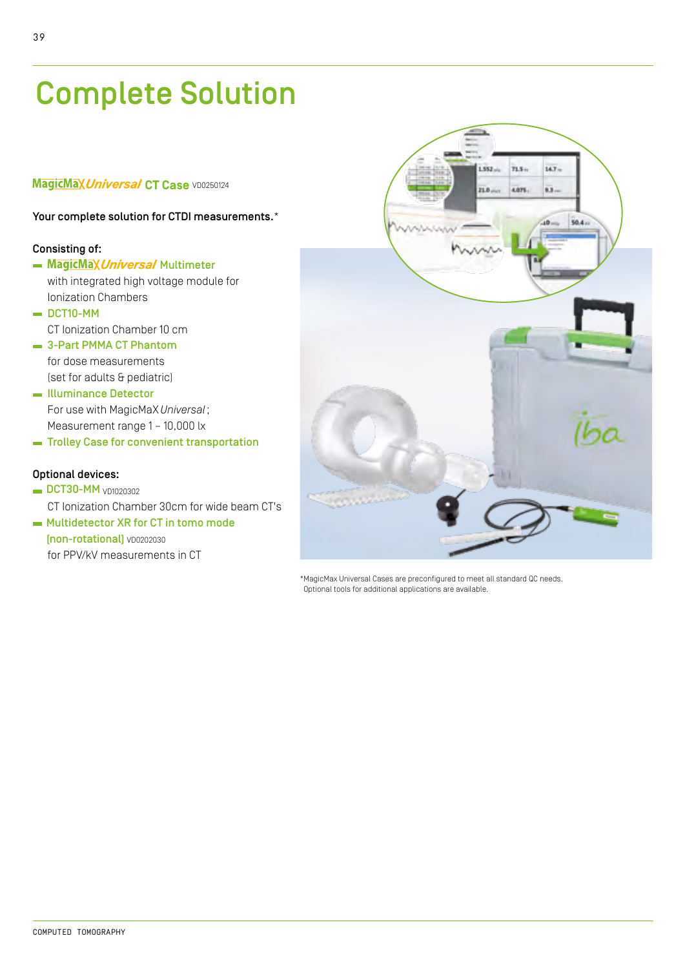# Complete Solution

#### **MagicMax Universal CT Case** VD0250124

#### Your complete solution for CTDI measurements.\*

#### Consisting of:

- MagicMax Universal Multimeter with integrated high voltage module for Ionization Chambers
- $\blacksquare$  DCT10-MM CT Ionization Chamber 10 cm
- $\equiv$  3-Part PMMA CT Phantom for dose measurements (set for adults & pediatric)
- Illuminance Detector For use with MagicMaX *Universal*; Measurement range 1 – 10,000 lx
- **Trolley Case for convenient transportation**

#### Optional devices:

- $\blacksquare$  DCT30-MM  $\vee$ D1020302 CT Ionization Chamber 30cm for wide beam CT's
- **Multidetector XR for CT in tomo mode** (non-rotational) VD0202030 for PPV/kV measurements in CT



\*MagicMax Universal Cases are preconfigured to meet all standard QC needs. Optional tools for additional applications are available.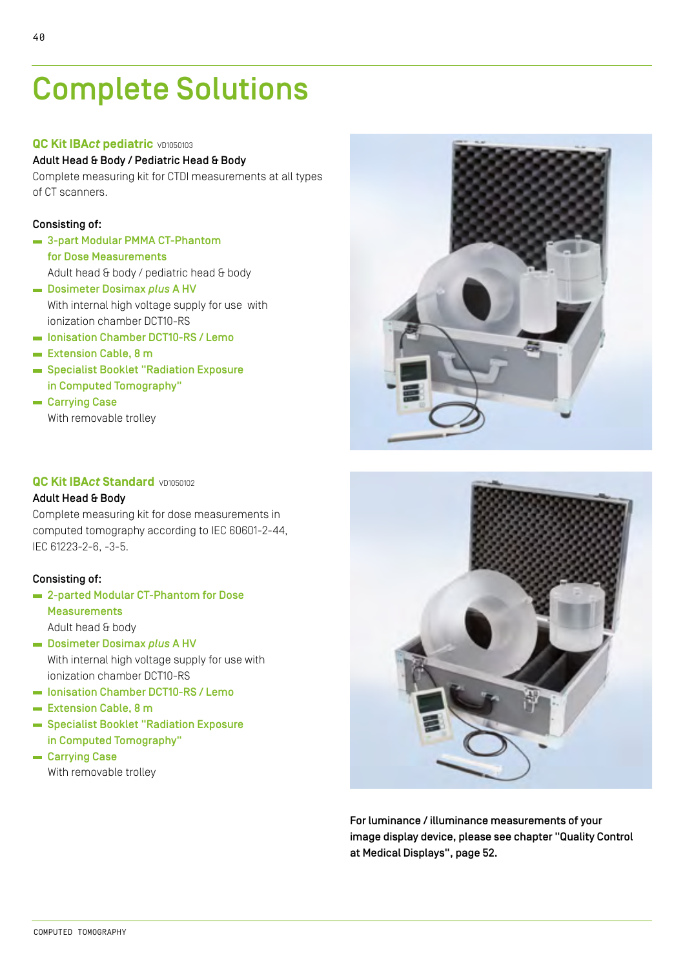# Complete Solutions

#### **QC Kit IBA***ct* **pediatric** VD1050103

#### Adult Head & Body / Pediatric Head & Body

Complete measuring kit for CTDI measurements at all types of CT scanners.

#### Consisting of:

- **3-part Modular PMMA CT-Phantom** for Dose Measurements Adult head & body / pediatric head & body
- Dosimeter Dosimax *plus* A HV With internal high voltage supply for use with ionization chamber DCT10-RS
- Ionisation Chamber DCT10-RS / Lemo
- Extension Cable, 8 m
- Specialist Booklet "Radiation Exposure in Computed Tomography"
- Carrying Case With removable trolley

#### **QC Kit IBA***ct* **Standard <b>VD1050102**

#### Adult Head & Body

Complete measuring kit for dose measurements in computed tomography according to IEC 60601-2-44, IEC 61223-2-6, -3-5.

#### Consisting of:

- **Example 2-parted Modular CT-Phantom for Dose Measurements** Adult head & body Dosimeter Dosimax *plus* A HV
- With internal high voltage supply for use with ionization chamber DCT10-RS
- Ionisation Chamber DCT10-RS / Lemo
- Extension Cable, 8 m
- Specialist Booklet "Radiation Exposure in Computed Tomography"
- **Carrying Case** With removable trolley





For luminance / illuminance measurements of your image display device, please see chapter "Quality Control at Medical Displays", page 52.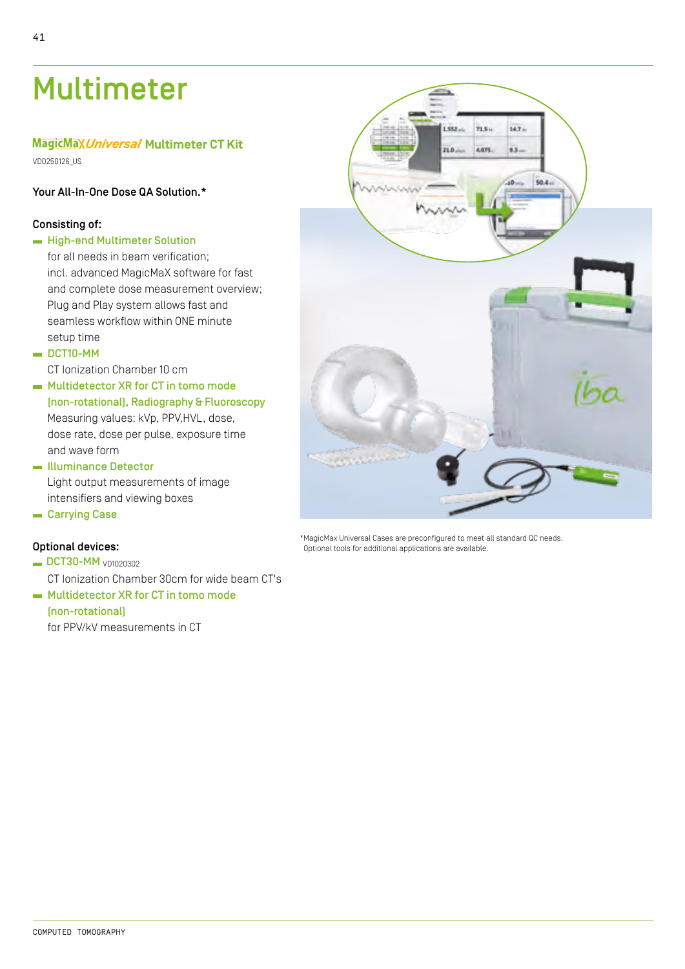## Multimeter

#### **MagicMax Universal Multimeter CT Kit**

VD0250126\_US

#### Your All-In-One Dose QA Solution.\*

#### Consisting of:

- **High-end Multimeter Solution** for all needs in beam verification: incl. advanced MagicMaX software for fast and complete dose measurement overview; Plug and Play system allows fast and seamless workflow within ONE minute setup time
- $\blacksquare$  DCT10-MM

CT Ionization Chamber 10 cm

- **Multidetector XR for CT in tomo mode** (non-rotational), Radiography & Fluoroscopy Measuring values: kVp, PPV,HVL, dose, dose rate, dose per pulse, exposure time and wave form
- Illuminance Detector Light output measurements of image intensifiers and viewing boxes
- **Carrying Case**

#### Optional devices:

- DCT30-MM vn1020302 CT Ionization Chamber 30cm for wide beam CT's
- **Multidetector XR for CT in tomo mode**

#### (non-rotational)

for PPV/kV measurements in CT



\*MagicMax Universal Cases are preconfigured to meet all standard QC needs. Optional tools for additional applications are available.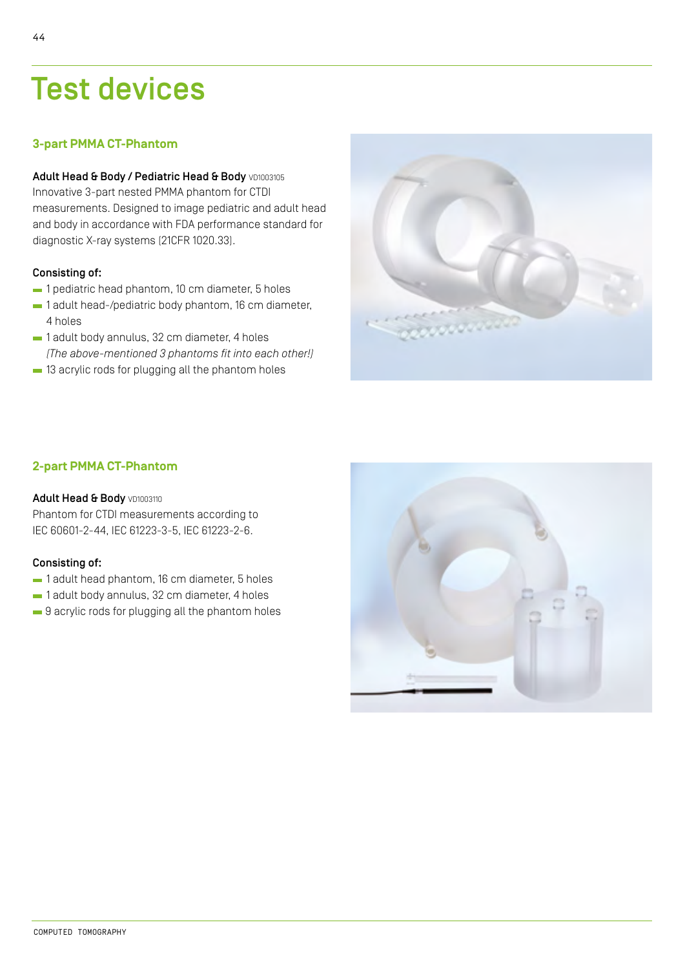### Test devices

#### **3-part PMMA CT-Phantom**

#### Adult Head & Body / Pediatric Head & Body VD1003105 Innovative 3-part nested PMMA phantom for CTDI measurements. Designed to image pediatric and adult head

and body in accordance with FDA performance standard for diagnostic X-ray systems (21CFR 1020.33).

#### Consisting of:

- $-1$  pediatric head phantom, 10 cm diameter, 5 holes
- 1 adult head-/pediatric body phantom, 16 cm diameter, 4 holes
- $-1$  adult body annulus, 32 cm diameter, 4 holes *(The above-mentioned 3 phantoms fit into each other!)*
- $-$  13 acrylic rods for plugging all the phantom holes



#### **2-part PMMA CT-Phantom**

#### Adult Head & Body VD1003110

Phantom for CTDI measurements according to IEC 60601-2-44, IEC 61223-3-5, IEC 61223-2-6.

#### Consisting of:

- $-1$  adult head phantom, 16 cm diameter, 5 holes
- $-1$  adult body annulus, 32 cm diameter, 4 holes
- $\blacksquare$  9 acrylic rods for plugging all the phantom holes